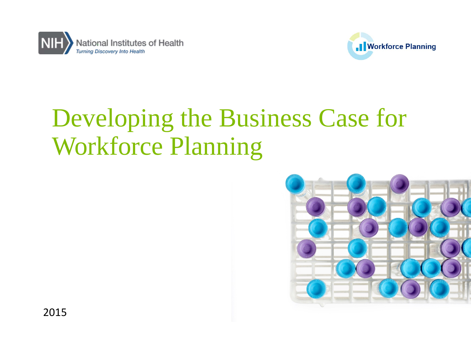



# Developing the Business Case for Workforce Planning

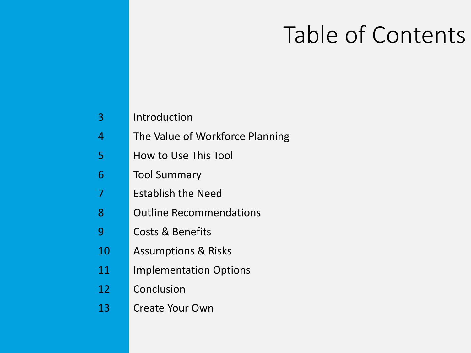# Table of Contents

| 3  | Introduction                    |
|----|---------------------------------|
| 4  | The Value of Workforce Planning |
| 5  | How to Use This Tool            |
| 6  | <b>Tool Summary</b>             |
| 7  | Establish the Need              |
| 8  | <b>Outline Recommendations</b>  |
| 9  | Costs & Benefits                |
| 10 | <b>Assumptions &amp; Risks</b>  |
| 11 | <b>Implementation Options</b>   |
| 12 | Conclusion                      |
| 13 | Create Your Own                 |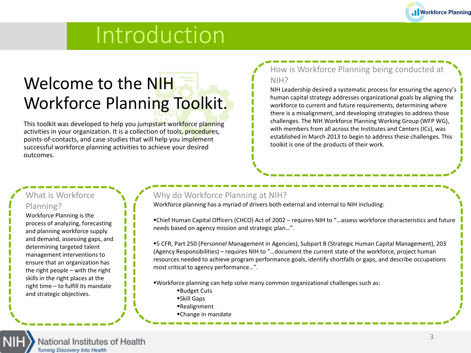

## Introduction

## Welcome to the NIH Workforce Planning Toolkit.

This toolkit was developed to help you jumpstart workforce planning activities in your organization. It is a collection of tools, procedures, points-of-contacts, and case studies that will help you implement successful workforce planning activities to achieve your desired outcomes.

#### How is Workforce Planning being conducted at NIH?

NIH Leadership desired a systematic process for ensuring the agency's human capital strategy addresses organizational goals by aligning the workforce to current and future requirements, determining where there is a misalignment, and developing strategies to address those challenges. The NIH Workforce Planning Working Group (WFP WG), with members from all across the Institutes and Centers (ICs), was established in March 2013 to begin to address these challenges. This toolkit is one of the products of their work.

#### What is Workforce Planning?

Workforce Planning is the process of analyzing, forecasting and planning workforce supply and demand, assessing gaps, and determining targeted talent management interventions to ensure that an organization has the right people – with the right skills in the right places at the right time – to fulfill its mandate and strategic objectives.

#### Why do Workforce Planning at NIH?

Workforce planning has a myriad of drivers both external and internal to NIH including:

Chief Human Capital Officers (CHCO) Act of 2002 – requires NIH to "…assess workforce characteristics and future needs based on agency mission and strategic plan…".

5 CFR, Part 250 (Personnel Management in Agencies), Subpart B (Strategic Human Capital Management), 203 (Agency Responsibilities) – requires NIH to "…document the current state of the workforce, project human resources needed to achieve program performance goals, identify shortfalls or gaps, and describe occupations most critical to agency performance…".

- Workforce planning can help solve many common organizational challenges such as:
	- Budget Cuts
	- Skill Gaps
	- Realignment
	- Change in mandate

National Institutes of Health **Turning Discovery Into Health**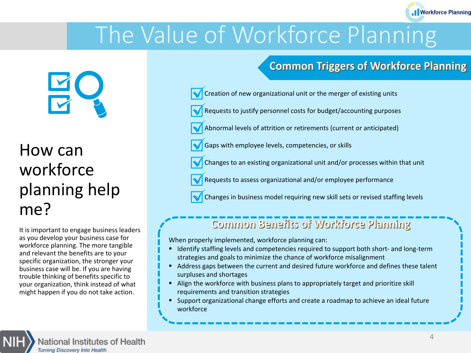# The Value of Workforce Planning

### **Common Triggers of Workforce Planning**

- Creation of new organizational unit or the merger of existing units
- Requests to justify personnel costs for budget/accounting purposes
- Abnormal levels of attrition or retirements (current or anticipated)
- Gaps with employee levels, competencies, or skills
- Changes to an existing organizational unit and/or processes within that unit
- Requests to assess organizational and/or employee performance
- Changes in business model requiring new skill sets or revised staffing levels

### Common Benefits of Workforce Planning

When properly implemented, workforce planning can:

- Identify staffing levels and competencies required to support both short- and long-term strategies and goals to minimize the chance of workforce misalignment
- Address gaps between the current and desired future workforce and defines these talent surpluses and shortages
- Align the workforce with business plans to appropriately target and prioritize skill requirements and transition strategies
- Support organizational change efforts and create a roadmap to achieve an ideal future workforce



It is important to engage business leaders as you develop your business case for workforce planning. The more tangible and relevant the benefits are to your specific organization, the stronger your business case will be. If you are having trouble thinking of benefits specific to your organization, think instead of what might happen if you do not take action.



.I Workforce Planning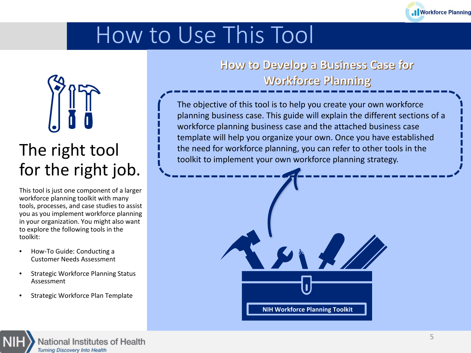

# How to Use This Tool



### The right tool for the right job.

This tool is just one component of a larger workforce planning toolkit with many tools, processes, and case studies to assist you as you implement workforce planning in your organization. You might also want to explore the following tools in the toolkit:

- How-To Guide: Conducting a Customer Needs Assessment
- Strategic Workforce Planning Status Assessment
- Strategic Workforce Plan Template

### How to Develop a Business Case for **Workforce Planning**

The objective of this tool is to help you create your own workforce planning business case. This guide will explain the different sections of a workforce planning business case and the attached business case template will help you organize your own. Once you have established the need for workforce planning, you can refer to other tools in the toolkit to implement your own workforce planning strategy.



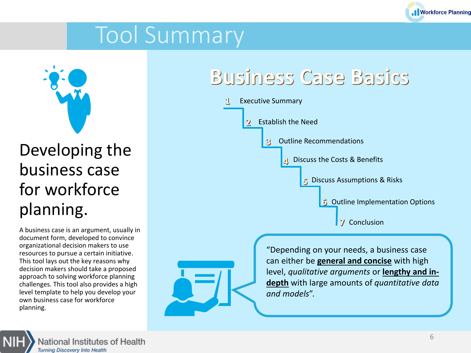

# Tool Summary



## Developing the business case for workforce planning.

A business case is an argument, usually in document form, developed to convince organizational decision makers to use resources to pursue a certain initiative. This tool lays out the key reasons why decision makers should take a proposed approach to solving workforce planning challenges. This tool also provides a high level template to help you develop your own business case for workforce planning.

## **Business Case Basics**



"Depending on your needs, a business case can either be **general and concise** with high level, *qualitative arguments* or **lengthy and indepth** with large amounts of *quantitative data and models*".

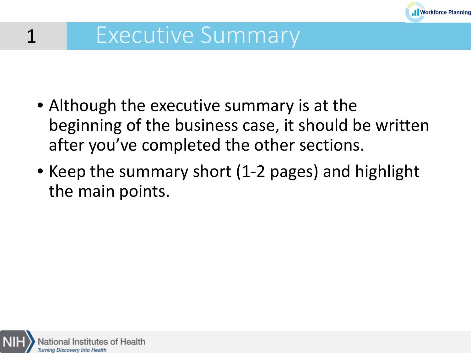

# Executive Summary

- Although the executive summary is at the beginning of the business case, it should be written after you've completed the other sections.
- Keep the summary short (1-2 pages) and highlight the main points.



1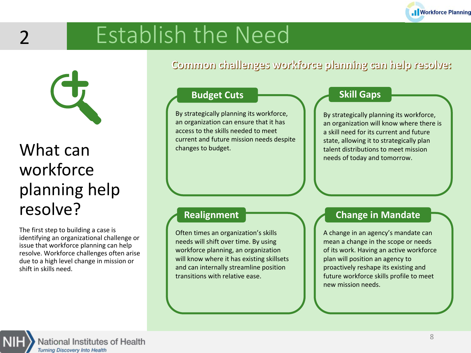

# Establish the Need



 $\mathcal{P}$ 

## What can workforce planning help resolve?

The first step to building a case is identifying an organizational challenge or issue that workforce planning can help resolve. Workforce challenges often arise due to a high level change in mission or shift in skills need.

Common challenges workforce planning can help resolve:

#### **Budget Cuts**

By strategically planning its workforce, an organization can ensure that it has access to the skills needed to meet current and future mission needs despite changes to budget.

#### **Skill Gaps**

By strategically planning its workforce, an organization will know where there is a skill need for its current and future state, allowing it to strategically plan talent distributions to meet mission needs of today and tomorrow.

#### **Realignment**

Often times an organization's skills needs will shift over time. By using workforce planning, an organization will know where it has existing skillsets and can internally streamline position transitions with relative ease.

#### **Change in Mandate**

A change in an agency's mandate can mean a change in the scope or needs of its work. Having an active workforce plan will position an agency to proactively reshape its existing and future workforce skills profile to meet new mission needs.

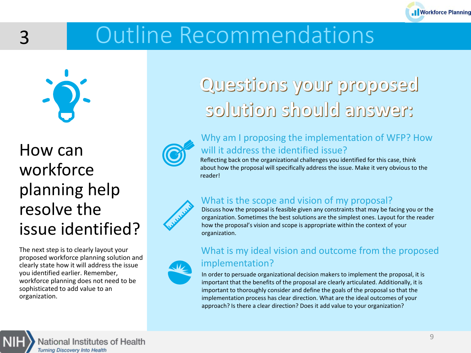

# Outline Recommendations



3

## How can workforce planning help resolve the issue identified?

The next step is to clearly layout your proposed workforce planning solution and clearly state how it will address the issue you identified earlier. Remember, workforce planning does not need to be sophisticated to add value to an organization.

## Questions your proposed solution should answer:



#### Why am I proposing the implementation of WFP? How will it address the identified issue?

Reflecting back on the organizational challenges you identified for this case, think about how the proposal will specifically address the issue. Make it very obvious to the reader!

#### What is the scope and vision of my proposal?

Discuss how the proposal is feasible given any constraints that may be facing you or the organization. Sometimes the best solutions are the simplest ones. Layout for the reader how the proposal's vision and scope is appropriate within the context of your organization.



#### What is my ideal vision and outcome from the proposed implementation?

In order to persuade organizational decision makers to implement the proposal, it is important that the benefits of the proposal are clearly articulated. Additionally, it is important to thoroughly consider and define the goals of the proposal so that the implementation process has clear direction. What are the ideal outcomes of your approach? Is there a clear direction? Does it add value to your organization?

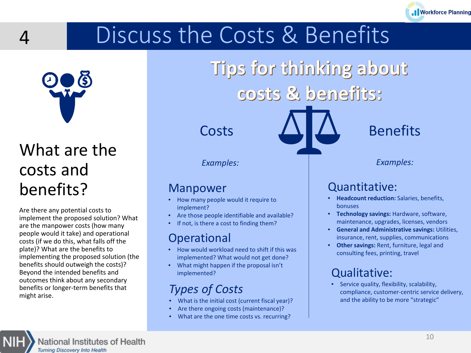# Discuss the Costs & Benefits

Tips for thinking about

costs & benefits:



<u> Д</u>

implement the proposed solution? What are the manpower costs (how many people would it take) and operational costs (if we do this, what falls off the plate)? What are the benefits to implementing the proposed solution (the benefits should outweigh the costs)? Beyond the intended benefits and outcomes think about any secondary benefits or longer-term benefits that might arise.

National Institutes of Health

**Turning Discovery Into Health** 

costs and benefits? Are there any potential costs to

*Examples: Examples:*

### Manpower

- How many people would it require to implement?
- Are those people identifiable and available?
- If not, is there a cost to finding them?

### Operational

- How would workload need to shift if this was implemented? What would not get done?
- What might happen if the proposal isn't implemented?

### *Types of Costs*

- What is the initial cost (current fiscal year)?
- Are there ongoing costs (maintenance)?
- What are the one time costs vs. recurring?

### Quantitative:

- **Headcount reduction:** Salaries, benefits, bonuses
- **Technology savings:** Hardware, software, maintenance, upgrades, licenses, vendors
- **General and Administrative savings:** Utilities, insurance, rent, supplies, communications
- **Other savings:** Rent, furniture, legal and consulting fees, printing, travel

### Qualitative:

• Service quality, flexibility, scalability, compliance, customer-centric service delivery, and the ability to be more "strategic"



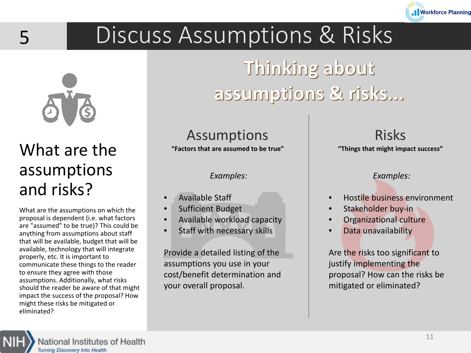

# Discuss Assumptions & Risks



5

## What are the assumptions and risks?

What are the assumptions on which the proposal is dependent (i.e. what factors are "assumed" to be true)? This could be anything from assumptions about staff that will be available, budget that will be available, technology that will integrate properly, etc. It is important to communicate these things to the reader to ensure they agree with those assumptions. Additionally, what risks should the reader be aware of that might impact the success of the proposal? How might these risks be mitigated or eliminated?

# Thinking about assumptions & risks...

### Assumptions

**"Factors that are assumed to be true"**

*Examples:*

- Available Staff
- Sufficient Budget
- Available workload capacity
- Staff with necessary skills

Provide a detailed listing of the assumptions you use in your cost/benefit determination and your overall proposal.

Risks **"Things that might impact success"**

*Examples:*

- Hostile business environment
- Stakeholder buy-in
- Organizational culture
- Data unavailability

Are the risks too significant to justify implementing the proposal? How can the risks be mitigated or eliminated?



National Institutes of Health **Turning Discovery Into Health**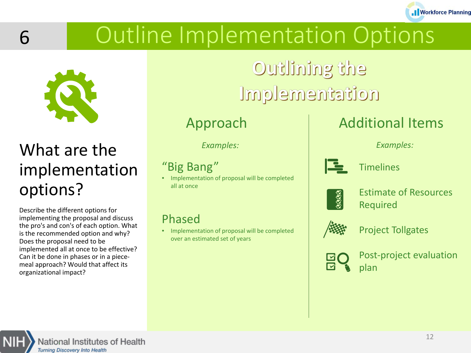# Outline Implementation Options

Outlining the

Implementation



*Examples: Examples:*

### "Big Bang"

• Implementation of proposal will be completed all at once

### Phased

• Implementation of proposal will be completed over an estimated set of years

### Approach Additional Items



Estimate of Resources Required

**.I** Workforce Planning

Project Tollgates



Post-project evaluation plan





the pro's and con's of each option. What is the recommended option and why?

implemented all at once to be effective? Can it be done in phases or in a piecemeal approach? Would that affect its

Does the proposal need to be

organizational impact?



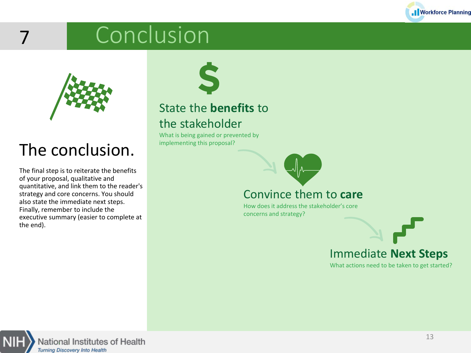

# Conclusion



7

## The conclusion.

The final step is to reiterate the benefits of your proposal, qualitative and quantitative, and link them to the reader's strategy and core concerns. You should also state the immediate next steps. Finally, remember to include the executive summary (easier to complete at the end).



### State the **benefits** to the stakeholder

What is being gained or prevented by implementing this proposal?

### Convince them to **care**

How does it address the stakeholder's core concerns and strategy?